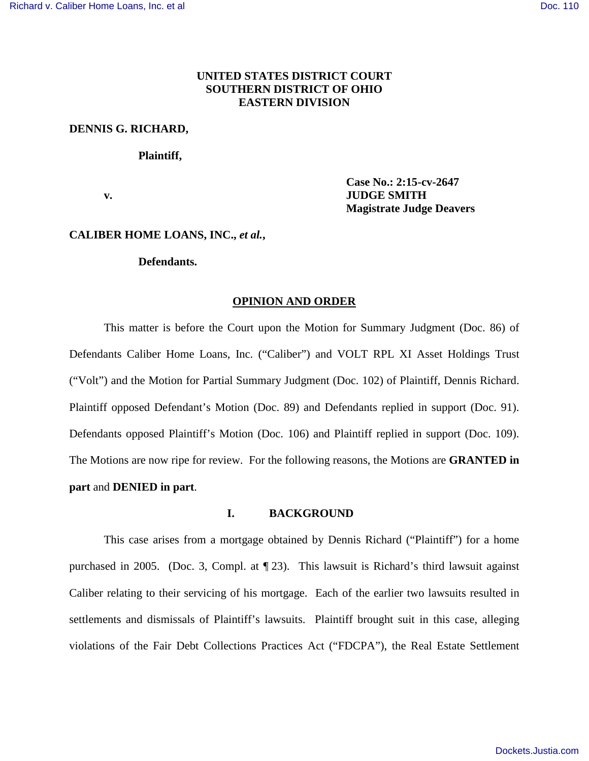# **UNITED STATES DISTRICT COURT SOUTHERN DISTRICT OF OHIO EASTERN DIVISION**

### **DENNIS G. RICHARD,**

### **Plaintiff,**

**Case No.: 2:15-cv-2647 v. JUDGE SMITH Magistrate Judge Deavers**

## **CALIBER HOME LOANS, INC.,** *et al.***,**

### **Defendants.**

#### **OPINION AND ORDER**

This matter is before the Court upon the Motion for Summary Judgment (Doc. 86) of Defendants Caliber Home Loans, Inc. ("Caliber") and VOLT RPL XI Asset Holdings Trust ("Volt") and the Motion for Partial Summary Judgment (Doc. 102) of Plaintiff, Dennis Richard. Plaintiff opposed Defendant's Motion (Doc. 89) and Defendants replied in support (Doc. 91). Defendants opposed Plaintiff's Motion (Doc. 106) and Plaintiff replied in support (Doc. 109). The Motions are now ripe for review. For the following reasons, the Motions are **GRANTED in part** and **DENIED in part**.

## **I. BACKGROUND**

This case arises from a mortgage obtained by Dennis Richard ("Plaintiff") for a home purchased in 2005. (Doc. 3, Compl. at ¶ 23). This lawsuit is Richard's third lawsuit against Caliber relating to their servicing of his mortgage. Each of the earlier two lawsuits resulted in settlements and dismissals of Plaintiff's lawsuits. Plaintiff brought suit in this case, alleging violations of the Fair Debt Collections Practices Act ("FDCPA"), the Real Estate Settlement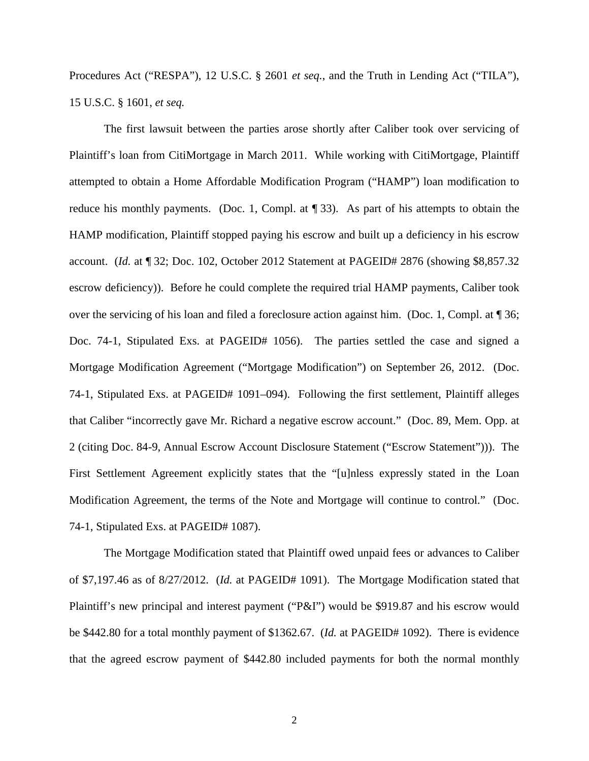Procedures Act ("RESPA"), 12 U.S.C. § 2601 *et seq.*, and the Truth in Lending Act ("TILA"), 15 U.S.C. § 1601, *et seq.*

The first lawsuit between the parties arose shortly after Caliber took over servicing of Plaintiff's loan from CitiMortgage in March 2011. While working with CitiMortgage, Plaintiff attempted to obtain a Home Affordable Modification Program ("HAMP") loan modification to reduce his monthly payments. (Doc. 1, Compl. at ¶ 33). As part of his attempts to obtain the HAMP modification, Plaintiff stopped paying his escrow and built up a deficiency in his escrow account. (*Id.* at ¶ 32; Doc. 102, October 2012 Statement at PAGEID# 2876 (showing \$8,857.32 escrow deficiency)). Before he could complete the required trial HAMP payments, Caliber took over the servicing of his loan and filed a foreclosure action against him. (Doc. 1, Compl. at ¶ 36; Doc. 74-1, Stipulated Exs. at PAGEID# 1056). The parties settled the case and signed a Mortgage Modification Agreement ("Mortgage Modification") on September 26, 2012. (Doc. 74-1, Stipulated Exs. at PAGEID# 1091–094). Following the first settlement, Plaintiff alleges that Caliber "incorrectly gave Mr. Richard a negative escrow account." (Doc. 89, Mem. Opp. at 2 (citing Doc. 84-9, Annual Escrow Account Disclosure Statement ("Escrow Statement"))). The First Settlement Agreement explicitly states that the "[u]nless expressly stated in the Loan Modification Agreement, the terms of the Note and Mortgage will continue to control." (Doc. 74-1, Stipulated Exs. at PAGEID# 1087).

The Mortgage Modification stated that Plaintiff owed unpaid fees or advances to Caliber of \$7,197.46 as of 8/27/2012. (*Id.* at PAGEID# 1091). The Mortgage Modification stated that Plaintiff's new principal and interest payment ("P&I") would be \$919.87 and his escrow would be \$442.80 for a total monthly payment of \$1362.67. (*Id.* at PAGEID# 1092). There is evidence that the agreed escrow payment of \$442.80 included payments for both the normal monthly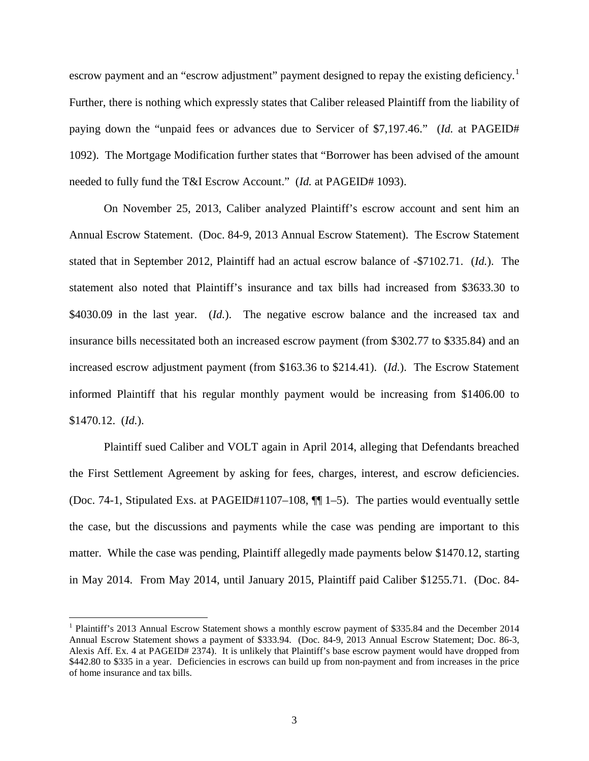escrow payment and an "escrow adjustment" payment designed to repay the existing deficiency.<sup>[1](#page-2-0)</sup> Further, there is nothing which expressly states that Caliber released Plaintiff from the liability of paying down the "unpaid fees or advances due to Servicer of \$7,197.46." (*Id.* at PAGEID# 1092). The Mortgage Modification further states that "Borrower has been advised of the amount needed to fully fund the T&I Escrow Account." (*Id.* at PAGEID# 1093).

On November 25, 2013, Caliber analyzed Plaintiff's escrow account and sent him an Annual Escrow Statement. (Doc. 84-9, 2013 Annual Escrow Statement). The Escrow Statement stated that in September 2012, Plaintiff had an actual escrow balance of -\$7102.71. (*Id.*). The statement also noted that Plaintiff's insurance and tax bills had increased from \$3633.30 to \$4030.09 in the last year. *(Id.)*. The negative escrow balance and the increased tax and insurance bills necessitated both an increased escrow payment (from \$302.77 to \$335.84) and an increased escrow adjustment payment (from \$163.36 to \$214.41). (*Id.*). The Escrow Statement informed Plaintiff that his regular monthly payment would be increasing from \$1406.00 to \$1470.12. (*Id.*).

Plaintiff sued Caliber and VOLT again in April 2014, alleging that Defendants breached the First Settlement Agreement by asking for fees, charges, interest, and escrow deficiencies. (Doc. 74-1, Stipulated Exs. at PAGEID#1107–108, ¶¶ 1–5). The parties would eventually settle the case, but the discussions and payments while the case was pending are important to this matter. While the case was pending, Plaintiff allegedly made payments below \$1470.12, starting in May 2014. From May 2014, until January 2015, Plaintiff paid Caliber \$1255.71. (Doc. 84-

 $\overline{a}$ 

<span id="page-2-0"></span><sup>&</sup>lt;sup>1</sup> Plaintiff's 2013 Annual Escrow Statement shows a monthly escrow payment of \$335.84 and the December 2014 Annual Escrow Statement shows a payment of \$333.94. (Doc. 84-9, 2013 Annual Escrow Statement; Doc. 86-3, Alexis Aff. Ex. 4 at PAGEID# 2374). It is unlikely that Plaintiff's base escrow payment would have dropped from \$442.80 to \$335 in a year. Deficiencies in escrows can build up from non-payment and from increases in the price of home insurance and tax bills.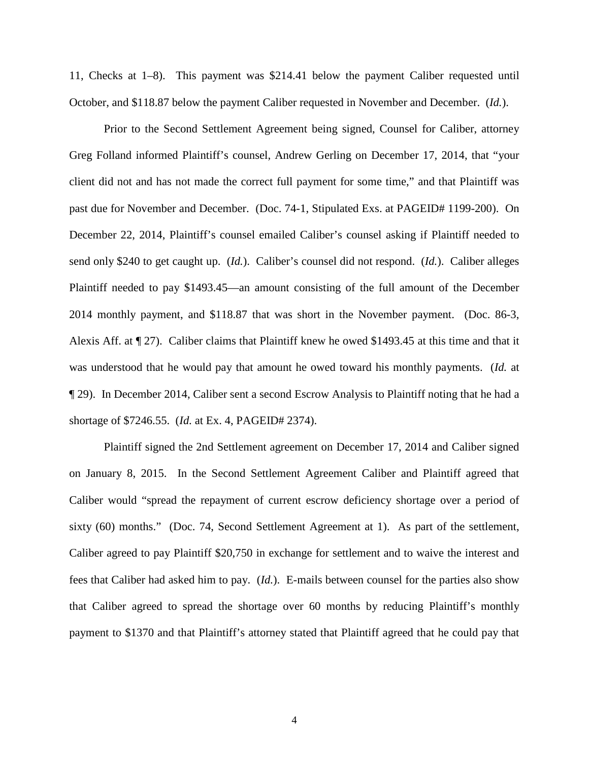11, Checks at 1–8). This payment was \$214.41 below the payment Caliber requested until October, and \$118.87 below the payment Caliber requested in November and December. (*Id.*).

Prior to the Second Settlement Agreement being signed, Counsel for Caliber, attorney Greg Folland informed Plaintiff's counsel, Andrew Gerling on December 17, 2014, that "your client did not and has not made the correct full payment for some time," and that Plaintiff was past due for November and December. (Doc. 74-1, Stipulated Exs. at PAGEID# 1199-200). On December 22, 2014, Plaintiff's counsel emailed Caliber's counsel asking if Plaintiff needed to send only \$240 to get caught up. (*Id.*). Caliber's counsel did not respond. (*Id.*). Caliber alleges Plaintiff needed to pay \$1493.45—an amount consisting of the full amount of the December 2014 monthly payment, and \$118.87 that was short in the November payment. (Doc. 86-3, Alexis Aff. at ¶ 27). Caliber claims that Plaintiff knew he owed \$1493.45 at this time and that it was understood that he would pay that amount he owed toward his monthly payments. (*Id.* at ¶ 29). In December 2014, Caliber sent a second Escrow Analysis to Plaintiff noting that he had a shortage of \$7246.55. (*Id.* at Ex. 4, PAGEID# 2374).

Plaintiff signed the 2nd Settlement agreement on December 17, 2014 and Caliber signed on January 8, 2015. In the Second Settlement Agreement Caliber and Plaintiff agreed that Caliber would "spread the repayment of current escrow deficiency shortage over a period of sixty (60) months." (Doc. 74, Second Settlement Agreement at 1). As part of the settlement, Caliber agreed to pay Plaintiff \$20,750 in exchange for settlement and to waive the interest and fees that Caliber had asked him to pay. (*Id.*). E-mails between counsel for the parties also show that Caliber agreed to spread the shortage over 60 months by reducing Plaintiff's monthly payment to \$1370 and that Plaintiff's attorney stated that Plaintiff agreed that he could pay that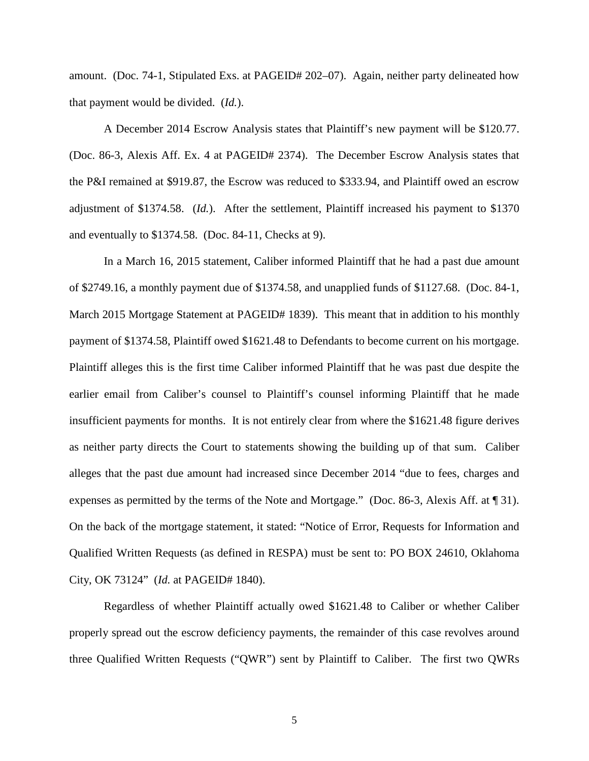amount. (Doc. 74-1, Stipulated Exs. at PAGEID# 202–07). Again, neither party delineated how that payment would be divided. (*Id.*).

A December 2014 Escrow Analysis states that Plaintiff's new payment will be \$120.77. (Doc. 86-3, Alexis Aff. Ex. 4 at PAGEID# 2374). The December Escrow Analysis states that the P&I remained at \$919.87, the Escrow was reduced to \$333.94, and Plaintiff owed an escrow adjustment of \$1374.58. (*Id.*). After the settlement, Plaintiff increased his payment to \$1370 and eventually to \$1374.58. (Doc. 84-11, Checks at 9).

In a March 16, 2015 statement, Caliber informed Plaintiff that he had a past due amount of \$2749.16, a monthly payment due of \$1374.58, and unapplied funds of \$1127.68. (Doc. 84-1, March 2015 Mortgage Statement at PAGEID# 1839). This meant that in addition to his monthly payment of \$1374.58, Plaintiff owed \$1621.48 to Defendants to become current on his mortgage. Plaintiff alleges this is the first time Caliber informed Plaintiff that he was past due despite the earlier email from Caliber's counsel to Plaintiff's counsel informing Plaintiff that he made insufficient payments for months. It is not entirely clear from where the \$1621.48 figure derives as neither party directs the Court to statements showing the building up of that sum. Caliber alleges that the past due amount had increased since December 2014 "due to fees, charges and expenses as permitted by the terms of the Note and Mortgage." (Doc. 86-3, Alexis Aff. at ¶ 31). On the back of the mortgage statement, it stated: "Notice of Error, Requests for Information and Qualified Written Requests (as defined in RESPA) must be sent to: PO BOX 24610, Oklahoma City, OK 73124" (*Id.* at PAGEID# 1840).

Regardless of whether Plaintiff actually owed \$1621.48 to Caliber or whether Caliber properly spread out the escrow deficiency payments, the remainder of this case revolves around three Qualified Written Requests ("QWR") sent by Plaintiff to Caliber. The first two QWRs

5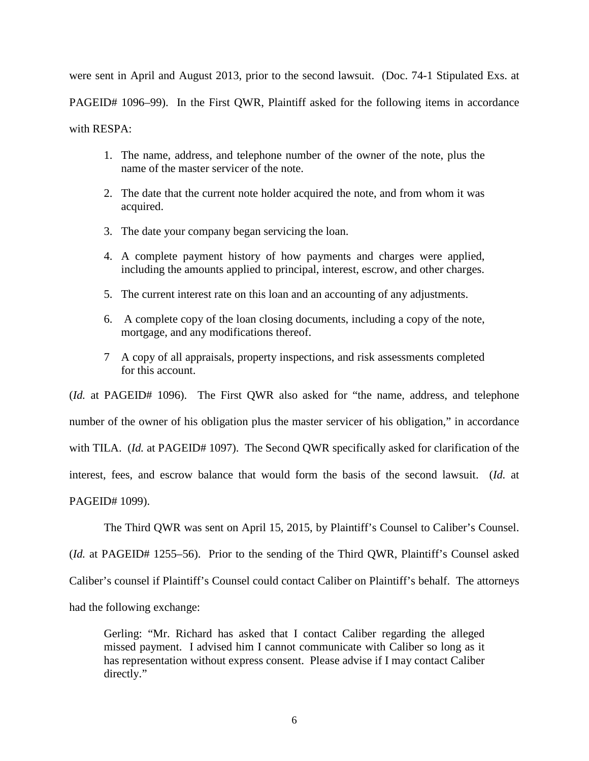were sent in April and August 2013, prior to the second lawsuit. (Doc. 74-1 Stipulated Exs. at PAGEID# 1096–99). In the First QWR, Plaintiff asked for the following items in accordance with RESPA:

- 1. The name, address, and telephone number of the owner of the note, plus the name of the master servicer of the note.
- 2. The date that the current note holder acquired the note, and from whom it was acquired.
- 3. The date your company began servicing the loan.
- 4. A complete payment history of how payments and charges were applied, including the amounts applied to principal, interest, escrow, and other charges.
- 5. The current interest rate on this loan and an accounting of any adjustments.
- 6. A complete copy of the loan closing documents, including a copy of the note, mortgage, and any modifications thereof.
- 7 A copy of all appraisals, property inspections, and risk assessments completed for this account.

(*Id.* at PAGEID# 1096). The First QWR also asked for "the name, address, and telephone number of the owner of his obligation plus the master servicer of his obligation," in accordance with TILA. (*Id.* at PAGEID# 1097). The Second QWR specifically asked for clarification of the interest, fees, and escrow balance that would form the basis of the second lawsuit. (*Id.* at PAGEID# 1099).

The Third QWR was sent on April 15, 2015, by Plaintiff's Counsel to Caliber's Counsel. (*Id.* at PAGEID# 1255–56). Prior to the sending of the Third QWR, Plaintiff's Counsel asked Caliber's counsel if Plaintiff's Counsel could contact Caliber on Plaintiff's behalf. The attorneys had the following exchange:

Gerling: "Mr. Richard has asked that I contact Caliber regarding the alleged missed payment. I advised him I cannot communicate with Caliber so long as it has representation without express consent. Please advise if I may contact Caliber directly."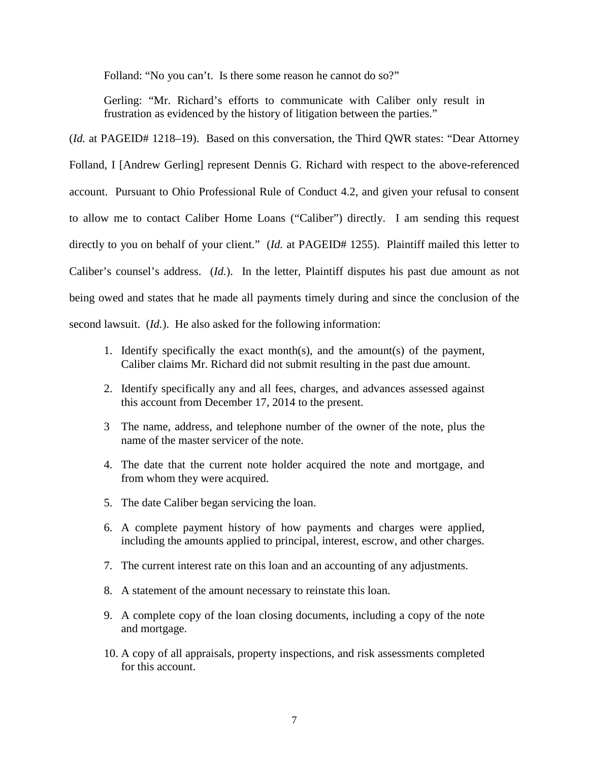Folland: "No you can't. Is there some reason he cannot do so?"

Gerling: "Mr. Richard's efforts to communicate with Caliber only result in frustration as evidenced by the history of litigation between the parties."

(*Id.* at PAGEID# 1218–19). Based on this conversation, the Third QWR states: "Dear Attorney" Folland, I [Andrew Gerling] represent Dennis G. Richard with respect to the above-referenced account. Pursuant to Ohio Professional Rule of Conduct 4.2, and given your refusal to consent to allow me to contact Caliber Home Loans ("Caliber") directly. I am sending this request directly to you on behalf of your client." (*Id.* at PAGEID# 1255). Plaintiff mailed this letter to Caliber's counsel's address. (*Id.*). In the letter, Plaintiff disputes his past due amount as not being owed and states that he made all payments timely during and since the conclusion of the second lawsuit. (*Id.*). He also asked for the following information:

- 1. Identify specifically the exact month(s), and the amount(s) of the payment, Caliber claims Mr. Richard did not submit resulting in the past due amount.
- 2. Identify specifically any and all fees, charges, and advances assessed against this account from December 17, 2014 to the present.
- 3 The name, address, and telephone number of the owner of the note, plus the name of the master servicer of the note.
- 4. The date that the current note holder acquired the note and mortgage, and from whom they were acquired.
- 5. The date Caliber began servicing the loan.
- 6. A complete payment history of how payments and charges were applied, including the amounts applied to principal, interest, escrow, and other charges.
- 7. The current interest rate on this loan and an accounting of any adjustments.
- 8. A statement of the amount necessary to reinstate this loan.
- 9. A complete copy of the loan closing documents, including a copy of the note and mortgage.
- 10. A copy of all appraisals, property inspections, and risk assessments completed for this account.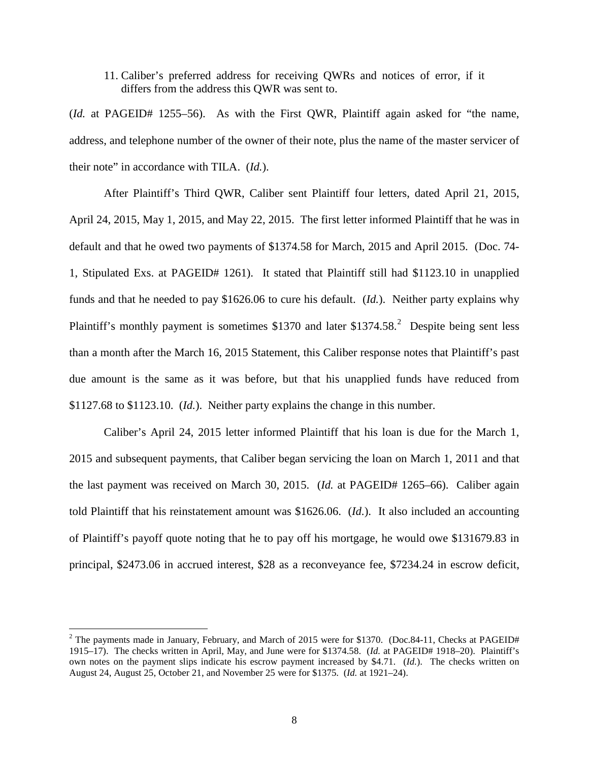# 11. Caliber's preferred address for receiving QWRs and notices of error, if it differs from the address this QWR was sent to.

(*Id.* at PAGEID# 1255–56). As with the First QWR, Plaintiff again asked for "the name, address, and telephone number of the owner of their note, plus the name of the master servicer of their note" in accordance with TILA. (*Id.*).

After Plaintiff's Third QWR, Caliber sent Plaintiff four letters, dated April 21, 2015, April 24, 2015, May 1, 2015, and May 22, 2015. The first letter informed Plaintiff that he was in default and that he owed two payments of \$1374.58 for March, 2015 and April 2015. (Doc. 74- 1, Stipulated Exs. at PAGEID# 1261). It stated that Plaintiff still had \$1123.10 in unapplied funds and that he needed to pay \$1626.06 to cure his default. (*Id.*). Neither party explains why Plaintiff's monthly payment is sometimes  $$1370$  and later  $$1374.58$ <sup>[2](#page-7-0)</sup> Despite being sent less than a month after the March 16, 2015 Statement, this Caliber response notes that Plaintiff's past due amount is the same as it was before, but that his unapplied funds have reduced from \$1127.68 to \$1123.10. (*Id.*). Neither party explains the change in this number.

Caliber's April 24, 2015 letter informed Plaintiff that his loan is due for the March 1, 2015 and subsequent payments, that Caliber began servicing the loan on March 1, 2011 and that the last payment was received on March 30, 2015. (*Id.* at PAGEID# 1265–66). Caliber again told Plaintiff that his reinstatement amount was \$1626.06. (*Id.*). It also included an accounting of Plaintiff's payoff quote noting that he to pay off his mortgage, he would owe \$131679.83 in principal, \$2473.06 in accrued interest, \$28 as a reconveyance fee, \$7234.24 in escrow deficit,

 $\overline{a}$ 

<span id="page-7-0"></span><sup>&</sup>lt;sup>2</sup> The payments made in January, February, and March of 2015 were for \$1370. (Doc.84-11, Checks at PAGEID# 1915–17). The checks written in April, May, and June were for \$1374.58. (*Id.* at PAGEID# 1918–20). Plaintiff's own notes on the payment slips indicate his escrow payment increased by \$4.71. (*Id.*). The checks written on August 24, August 25, October 21, and November 25 were for \$1375. (*Id.* at 1921–24).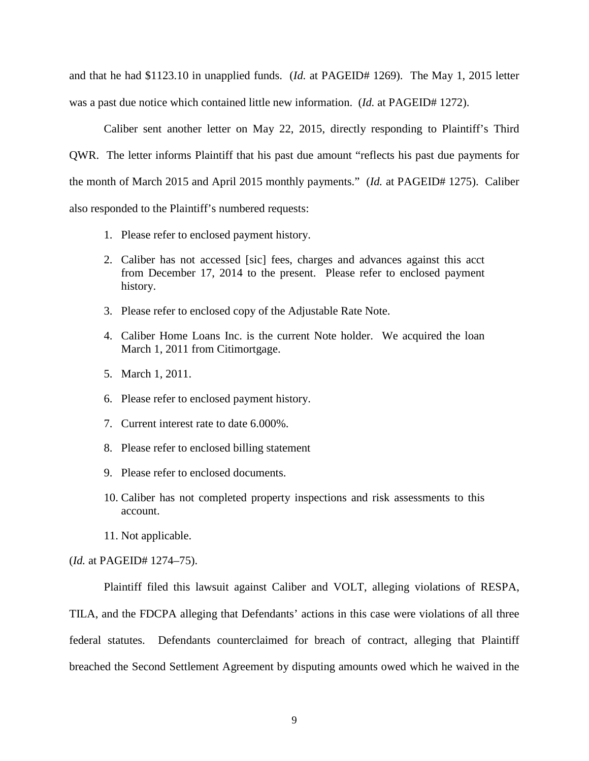and that he had \$1123.10 in unapplied funds. (*Id.* at PAGEID# 1269). The May 1, 2015 letter was a past due notice which contained little new information. (*Id.* at PAGEID# 1272).

Caliber sent another letter on May 22, 2015, directly responding to Plaintiff's Third QWR. The letter informs Plaintiff that his past due amount "reflects his past due payments for the month of March 2015 and April 2015 monthly payments." (*Id.* at PAGEID# 1275). Caliber also responded to the Plaintiff's numbered requests:

- 1. Please refer to enclosed payment history.
- 2. Caliber has not accessed [sic] fees, charges and advances against this acct from December 17, 2014 to the present. Please refer to enclosed payment history.
- 3. Please refer to enclosed copy of the Adjustable Rate Note.
- 4. Caliber Home Loans Inc. is the current Note holder. We acquired the loan March 1, 2011 from Citimortgage.
- 5. March 1, 2011.
- 6. Please refer to enclosed payment history.
- 7. Current interest rate to date 6.000%.
- 8. Please refer to enclosed billing statement
- 9. Please refer to enclosed documents.
- 10. Caliber has not completed property inspections and risk assessments to this account.
- 11. Not applicable.

## (*Id.* at PAGEID# 1274–75).

Plaintiff filed this lawsuit against Caliber and VOLT, alleging violations of RESPA,

TILA, and the FDCPA alleging that Defendants' actions in this case were violations of all three federal statutes. Defendants counterclaimed for breach of contract, alleging that Plaintiff breached the Second Settlement Agreement by disputing amounts owed which he waived in the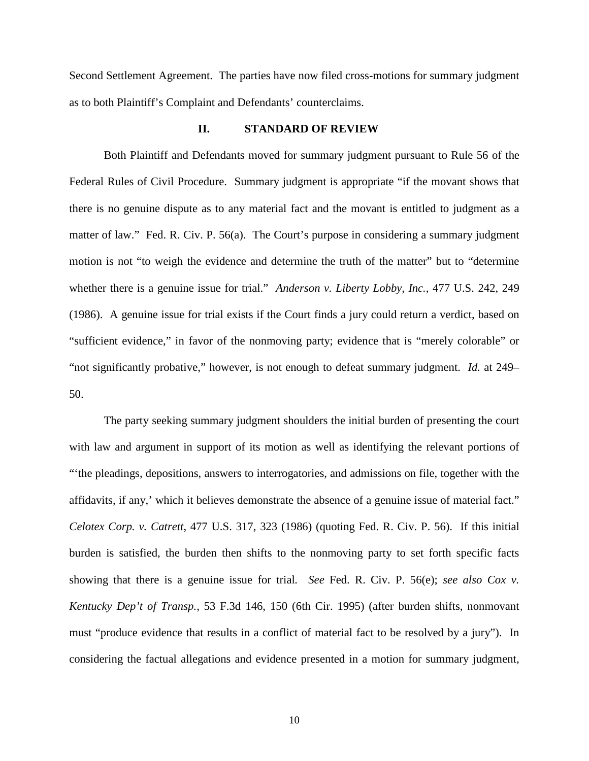Second Settlement Agreement. The parties have now filed cross-motions for summary judgment as to both Plaintiff's Complaint and Defendants' counterclaims.

## **II. STANDARD OF REVIEW**

Both Plaintiff and Defendants moved for summary judgment pursuant to Rule 56 of the Federal Rules of Civil Procedure. Summary judgment is appropriate "if the movant shows that there is no genuine dispute as to any material fact and the movant is entitled to judgment as a matter of law." Fed. R. Civ. P. 56(a). The Court's purpose in considering a summary judgment motion is not "to weigh the evidence and determine the truth of the matter" but to "determine whether there is a genuine issue for trial." *Anderson v. Liberty Lobby, Inc.*, 477 U.S. 242, 249 (1986). A genuine issue for trial exists if the Court finds a jury could return a verdict, based on "sufficient evidence," in favor of the nonmoving party; evidence that is "merely colorable" or "not significantly probative," however, is not enough to defeat summary judgment. *Id.* at 249– 50.

The party seeking summary judgment shoulders the initial burden of presenting the court with law and argument in support of its motion as well as identifying the relevant portions of "'the pleadings, depositions, answers to interrogatories, and admissions on file, together with the affidavits, if any,' which it believes demonstrate the absence of a genuine issue of material fact." *Celotex Corp. v. Catrett*, 477 U.S. 317, 323 (1986) (quoting Fed. R. Civ. P. 56). If this initial burden is satisfied, the burden then shifts to the nonmoving party to set forth specific facts showing that there is a genuine issue for trial*. See* Fed. R. Civ. P. 56(e); *see also Cox v. Kentucky Dep't of Transp.*, 53 F.3d 146, 150 (6th Cir. 1995) (after burden shifts, nonmovant must "produce evidence that results in a conflict of material fact to be resolved by a jury"). In considering the factual allegations and evidence presented in a motion for summary judgment,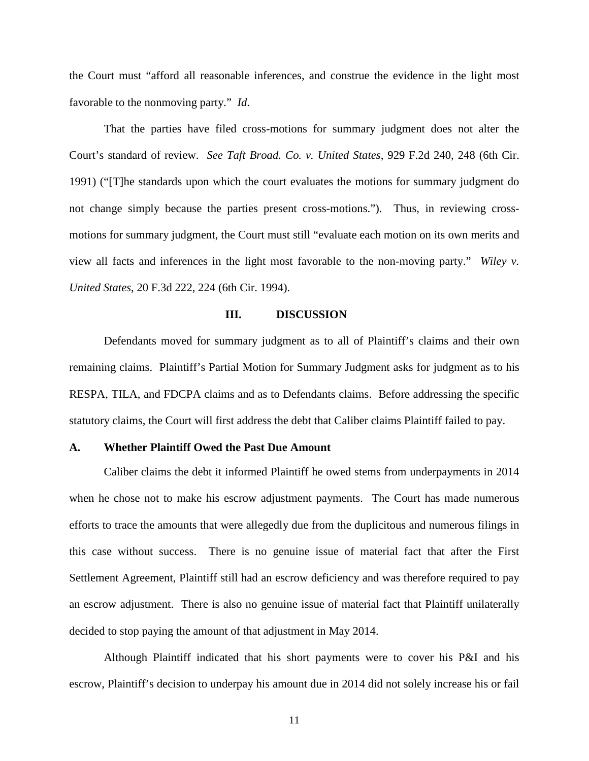the Court must "afford all reasonable inferences, and construe the evidence in the light most favorable to the nonmoving party." *Id*.

That the parties have filed cross-motions for summary judgment does not alter the Court's standard of review. *See Taft Broad. Co. v. United States*, 929 F.2d 240, 248 (6th Cir. 1991) ("[T]he standards upon which the court evaluates the motions for summary judgment do not change simply because the parties present cross-motions."). Thus, in reviewing crossmotions for summary judgment, the Court must still "evaluate each motion on its own merits and view all facts and inferences in the light most favorable to the non-moving party." *Wiley v. United States*, 20 F.3d 222, 224 (6th Cir. 1994).

### **III. DISCUSSION**

Defendants moved for summary judgment as to all of Plaintiff's claims and their own remaining claims. Plaintiff's Partial Motion for Summary Judgment asks for judgment as to his RESPA, TILA, and FDCPA claims and as to Defendants claims. Before addressing the specific statutory claims, the Court will first address the debt that Caliber claims Plaintiff failed to pay.

#### **A. Whether Plaintiff Owed the Past Due Amount**

Caliber claims the debt it informed Plaintiff he owed stems from underpayments in 2014 when he chose not to make his escrow adjustment payments. The Court has made numerous efforts to trace the amounts that were allegedly due from the duplicitous and numerous filings in this case without success. There is no genuine issue of material fact that after the First Settlement Agreement, Plaintiff still had an escrow deficiency and was therefore required to pay an escrow adjustment. There is also no genuine issue of material fact that Plaintiff unilaterally decided to stop paying the amount of that adjustment in May 2014.

Although Plaintiff indicated that his short payments were to cover his P&I and his escrow, Plaintiff's decision to underpay his amount due in 2014 did not solely increase his or fail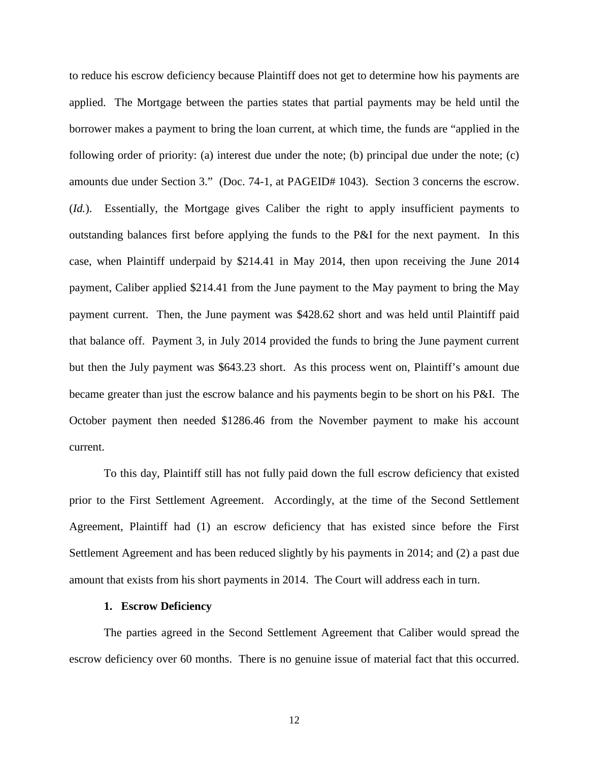to reduce his escrow deficiency because Plaintiff does not get to determine how his payments are applied. The Mortgage between the parties states that partial payments may be held until the borrower makes a payment to bring the loan current, at which time, the funds are "applied in the following order of priority: (a) interest due under the note; (b) principal due under the note; (c) amounts due under Section 3." (Doc. 74-1, at PAGEID# 1043). Section 3 concerns the escrow. (*Id.*). Essentially, the Mortgage gives Caliber the right to apply insufficient payments to outstanding balances first before applying the funds to the P&I for the next payment. In this case, when Plaintiff underpaid by \$214.41 in May 2014, then upon receiving the June 2014 payment, Caliber applied \$214.41 from the June payment to the May payment to bring the May payment current. Then, the June payment was \$428.62 short and was held until Plaintiff paid that balance off. Payment 3, in July 2014 provided the funds to bring the June payment current but then the July payment was \$643.23 short. As this process went on, Plaintiff's amount due became greater than just the escrow balance and his payments begin to be short on his P&I. The October payment then needed \$1286.46 from the November payment to make his account current.

To this day, Plaintiff still has not fully paid down the full escrow deficiency that existed prior to the First Settlement Agreement. Accordingly, at the time of the Second Settlement Agreement, Plaintiff had (1) an escrow deficiency that has existed since before the First Settlement Agreement and has been reduced slightly by his payments in 2014; and (2) a past due amount that exists from his short payments in 2014. The Court will address each in turn.

#### **1. Escrow Deficiency**

The parties agreed in the Second Settlement Agreement that Caliber would spread the escrow deficiency over 60 months. There is no genuine issue of material fact that this occurred.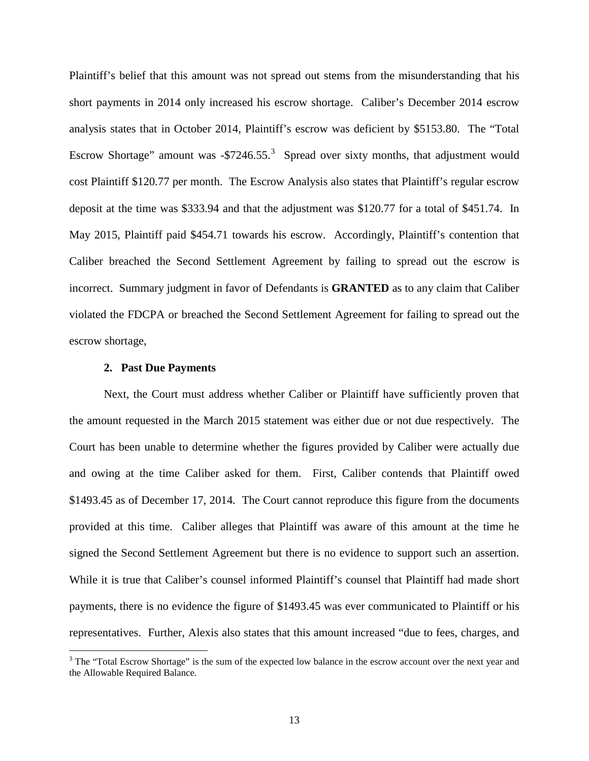Plaintiff's belief that this amount was not spread out stems from the misunderstanding that his short payments in 2014 only increased his escrow shortage. Caliber's December 2014 escrow analysis states that in October 2014, Plaintiff's escrow was deficient by \$5153.80. The "Total Escrow Shortage" amount was  $-$ \$7246.55.<sup>[3](#page-12-0)</sup> Spread over sixty months, that adjustment would cost Plaintiff \$120.77 per month. The Escrow Analysis also states that Plaintiff's regular escrow deposit at the time was \$333.94 and that the adjustment was \$120.77 for a total of \$451.74. In May 2015, Plaintiff paid \$454.71 towards his escrow. Accordingly, Plaintiff's contention that Caliber breached the Second Settlement Agreement by failing to spread out the escrow is incorrect. Summary judgment in favor of Defendants is **GRANTED** as to any claim that Caliber violated the FDCPA or breached the Second Settlement Agreement for failing to spread out the escrow shortage,

#### **2. Past Due Payments**

 $\overline{a}$ 

Next, the Court must address whether Caliber or Plaintiff have sufficiently proven that the amount requested in the March 2015 statement was either due or not due respectively. The Court has been unable to determine whether the figures provided by Caliber were actually due and owing at the time Caliber asked for them. First, Caliber contends that Plaintiff owed \$1493.45 as of December 17, 2014. The Court cannot reproduce this figure from the documents provided at this time. Caliber alleges that Plaintiff was aware of this amount at the time he signed the Second Settlement Agreement but there is no evidence to support such an assertion. While it is true that Caliber's counsel informed Plaintiff's counsel that Plaintiff had made short payments, there is no evidence the figure of \$1493.45 was ever communicated to Plaintiff or his representatives. Further, Alexis also states that this amount increased "due to fees, charges, and

<span id="page-12-0"></span><sup>&</sup>lt;sup>3</sup> The "Total Escrow Shortage" is the sum of the expected low balance in the escrow account over the next year and the Allowable Required Balance.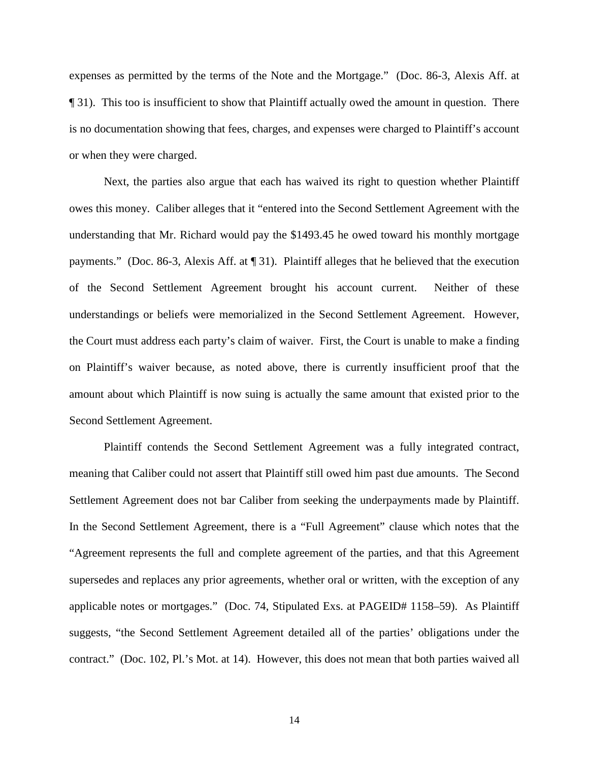expenses as permitted by the terms of the Note and the Mortgage." (Doc. 86-3, Alexis Aff. at ¶ 31). This too is insufficient to show that Plaintiff actually owed the amount in question. There is no documentation showing that fees, charges, and expenses were charged to Plaintiff's account or when they were charged.

Next, the parties also argue that each has waived its right to question whether Plaintiff owes this money. Caliber alleges that it "entered into the Second Settlement Agreement with the understanding that Mr. Richard would pay the \$1493.45 he owed toward his monthly mortgage payments." (Doc. 86-3, Alexis Aff. at ¶ 31). Plaintiff alleges that he believed that the execution of the Second Settlement Agreement brought his account current. Neither of these understandings or beliefs were memorialized in the Second Settlement Agreement. However, the Court must address each party's claim of waiver. First, the Court is unable to make a finding on Plaintiff's waiver because, as noted above, there is currently insufficient proof that the amount about which Plaintiff is now suing is actually the same amount that existed prior to the Second Settlement Agreement.

Plaintiff contends the Second Settlement Agreement was a fully integrated contract, meaning that Caliber could not assert that Plaintiff still owed him past due amounts. The Second Settlement Agreement does not bar Caliber from seeking the underpayments made by Plaintiff. In the Second Settlement Agreement, there is a "Full Agreement" clause which notes that the "Agreement represents the full and complete agreement of the parties, and that this Agreement supersedes and replaces any prior agreements, whether oral or written, with the exception of any applicable notes or mortgages." (Doc. 74, Stipulated Exs. at PAGEID# 1158–59). As Plaintiff suggests, "the Second Settlement Agreement detailed all of the parties' obligations under the contract." (Doc. 102, Pl.'s Mot. at 14). However, this does not mean that both parties waived all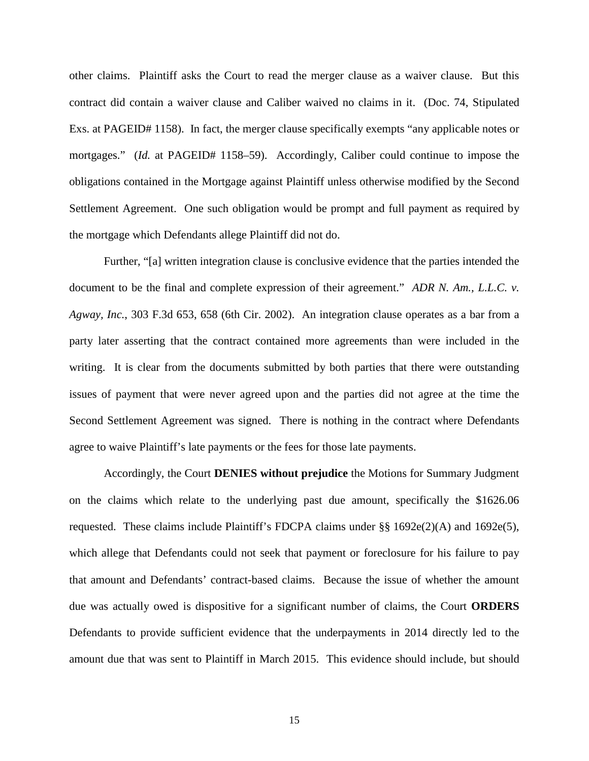other claims. Plaintiff asks the Court to read the merger clause as a waiver clause. But this contract did contain a waiver clause and Caliber waived no claims in it. (Doc. 74, Stipulated Exs. at PAGEID# 1158). In fact, the merger clause specifically exempts "any applicable notes or mortgages." *(Id.* at PAGEID# 1158–59). Accordingly, Caliber could continue to impose the obligations contained in the Mortgage against Plaintiff unless otherwise modified by the Second Settlement Agreement. One such obligation would be prompt and full payment as required by the mortgage which Defendants allege Plaintiff did not do.

Further, "[a] written integration clause is conclusive evidence that the parties intended the document to be the final and complete expression of their agreement." *ADR N. Am., L.L.C. v. Agway, Inc.*, 303 F.3d 653, 658 (6th Cir. 2002). An integration clause operates as a bar from a party later asserting that the contract contained more agreements than were included in the writing. It is clear from the documents submitted by both parties that there were outstanding issues of payment that were never agreed upon and the parties did not agree at the time the Second Settlement Agreement was signed. There is nothing in the contract where Defendants agree to waive Plaintiff's late payments or the fees for those late payments.

Accordingly, the Court **DENIES without prejudice** the Motions for Summary Judgment on the claims which relate to the underlying past due amount, specifically the \$1626.06 requested. These claims include Plaintiff's FDCPA claims under §§ 1692e(2)(A) and 1692e(5), which allege that Defendants could not seek that payment or foreclosure for his failure to pay that amount and Defendants' contract-based claims. Because the issue of whether the amount due was actually owed is dispositive for a significant number of claims, the Court **ORDERS** Defendants to provide sufficient evidence that the underpayments in 2014 directly led to the amount due that was sent to Plaintiff in March 2015. This evidence should include, but should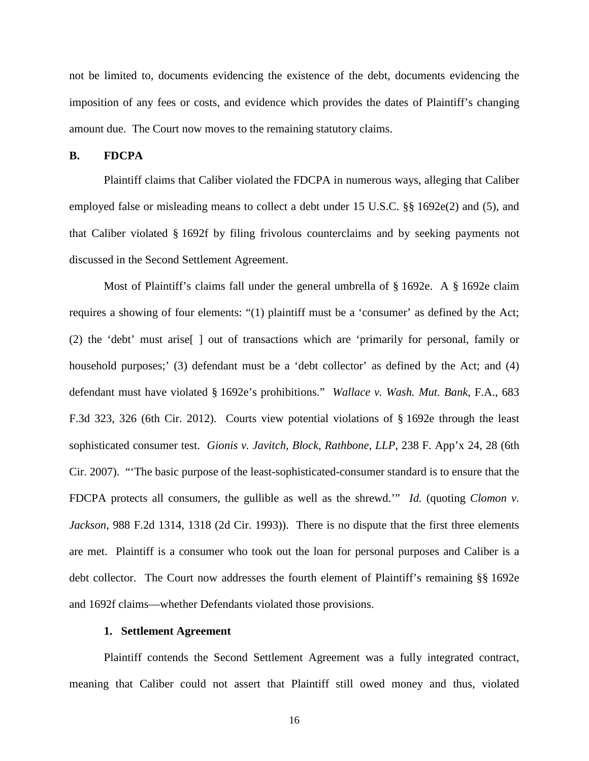not be limited to, documents evidencing the existence of the debt, documents evidencing the imposition of any fees or costs, and evidence which provides the dates of Plaintiff's changing amount due. The Court now moves to the remaining statutory claims.

## **B. FDCPA**

Plaintiff claims that Caliber violated the FDCPA in numerous ways, alleging that Caliber employed false or misleading means to collect a debt under 15 U.S.C. §§ 1692e(2) and (5), and that Caliber violated § 1692f by filing frivolous counterclaims and by seeking payments not discussed in the Second Settlement Agreement.

Most of Plaintiff's claims fall under the general umbrella of § 1692e. A § 1692e claim requires a showing of four elements: "(1) plaintiff must be a 'consumer' as defined by the Act; (2) the 'debt' must arise[ ] out of transactions which are 'primarily for personal, family or household purposes;' (3) defendant must be a 'debt collector' as defined by the Act; and (4) defendant must have violated § 1692e's prohibitions." *Wallace v. Wash. Mut. Bank*, F.A., 683 F.3d 323, 326 (6th Cir. 2012). Courts view potential violations of § 1692e through the least sophisticated consumer test. *Gionis v. Javitch, Block, Rathbone, LLP*, 238 F. App'x 24, 28 (6th Cir. 2007). "'The basic purpose of the least-sophisticated-consumer standard is to ensure that the FDCPA protects all consumers, the gullible as well as the shrewd.'" *Id.* (quoting *Clomon v. Jackson*, 988 F.2d 1314, 1318 (2d Cir. 1993)). There is no dispute that the first three elements are met. Plaintiff is a consumer who took out the loan for personal purposes and Caliber is a debt collector. The Court now addresses the fourth element of Plaintiff's remaining §§ 1692e and 1692f claims—whether Defendants violated those provisions.

## **1. Settlement Agreement**

Plaintiff contends the Second Settlement Agreement was a fully integrated contract, meaning that Caliber could not assert that Plaintiff still owed money and thus, violated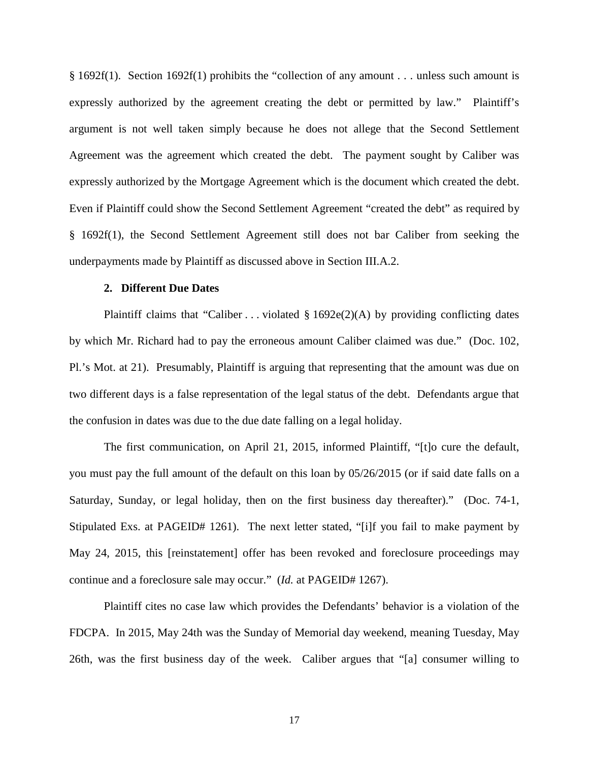§ 1692f(1). Section 1692f(1) prohibits the "collection of any amount . . . unless such amount is expressly authorized by the agreement creating the debt or permitted by law." Plaintiff's argument is not well taken simply because he does not allege that the Second Settlement Agreement was the agreement which created the debt. The payment sought by Caliber was expressly authorized by the Mortgage Agreement which is the document which created the debt. Even if Plaintiff could show the Second Settlement Agreement "created the debt" as required by § 1692f(1), the Second Settlement Agreement still does not bar Caliber from seeking the underpayments made by Plaintiff as discussed above in Section III.A.2.

### **2. Different Due Dates**

Plaintiff claims that "Caliber . . . violated  $\S 1692e(2)$ (A) by providing conflicting dates by which Mr. Richard had to pay the erroneous amount Caliber claimed was due." (Doc. 102, Pl.'s Mot. at 21). Presumably, Plaintiff is arguing that representing that the amount was due on two different days is a false representation of the legal status of the debt. Defendants argue that the confusion in dates was due to the due date falling on a legal holiday.

The first communication, on April 21, 2015, informed Plaintiff, "[t]o cure the default, you must pay the full amount of the default on this loan by 05/26/2015 (or if said date falls on a Saturday, Sunday, or legal holiday, then on the first business day thereafter)." (Doc. 74-1, Stipulated Exs. at PAGEID# 1261). The next letter stated, "[i]f you fail to make payment by May 24, 2015, this [reinstatement] offer has been revoked and foreclosure proceedings may continue and a foreclosure sale may occur." (*Id.* at PAGEID# 1267).

Plaintiff cites no case law which provides the Defendants' behavior is a violation of the FDCPA. In 2015, May 24th was the Sunday of Memorial day weekend, meaning Tuesday, May 26th, was the first business day of the week. Caliber argues that "[a] consumer willing to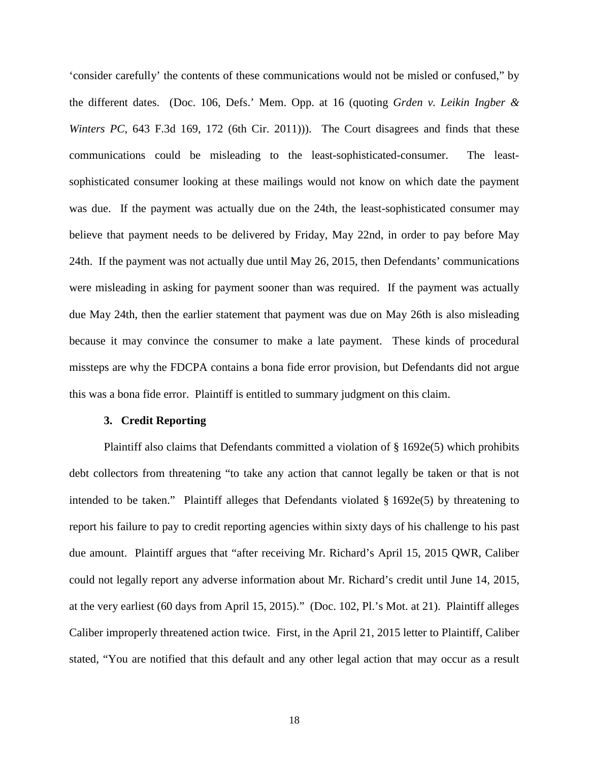'consider carefully' the contents of these communications would not be misled or confused," by the different dates. (Doc. 106, Defs.' Mem. Opp. at 16 (quoting *Grden v. Leikin Ingber & Winters PC*, 643 F.3d 169, 172 (6th Cir. 2011))). The Court disagrees and finds that these communications could be misleading to the least-sophisticated-consumer. The leastsophisticated consumer looking at these mailings would not know on which date the payment was due. If the payment was actually due on the 24th, the least-sophisticated consumer may believe that payment needs to be delivered by Friday, May 22nd, in order to pay before May 24th. If the payment was not actually due until May 26, 2015, then Defendants' communications were misleading in asking for payment sooner than was required. If the payment was actually due May 24th, then the earlier statement that payment was due on May 26th is also misleading because it may convince the consumer to make a late payment. These kinds of procedural missteps are why the FDCPA contains a bona fide error provision, but Defendants did not argue this was a bona fide error. Plaintiff is entitled to summary judgment on this claim.

#### **3. Credit Reporting**

Plaintiff also claims that Defendants committed a violation of § 1692e(5) which prohibits debt collectors from threatening "to take any action that cannot legally be taken or that is not intended to be taken." Plaintiff alleges that Defendants violated  $\S 1692e(5)$  by threatening to report his failure to pay to credit reporting agencies within sixty days of his challenge to his past due amount. Plaintiff argues that "after receiving Mr. Richard's April 15, 2015 QWR, Caliber could not legally report any adverse information about Mr. Richard's credit until June 14, 2015, at the very earliest (60 days from April 15, 2015)." (Doc. 102, Pl.'s Mot. at 21). Plaintiff alleges Caliber improperly threatened action twice. First, in the April 21, 2015 letter to Plaintiff, Caliber stated, "You are notified that this default and any other legal action that may occur as a result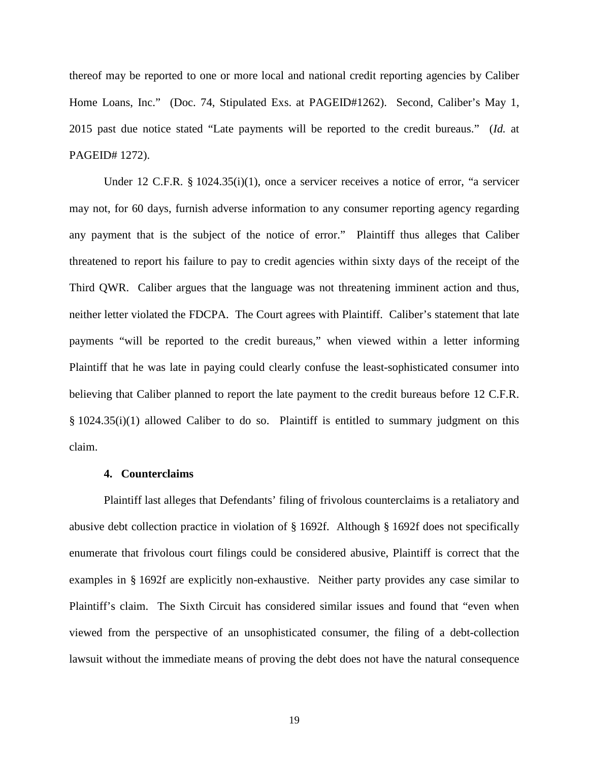thereof may be reported to one or more local and national credit reporting agencies by Caliber Home Loans, Inc." (Doc. 74, Stipulated Exs. at PAGEID#1262). Second, Caliber's May 1, 2015 past due notice stated "Late payments will be reported to the credit bureaus." (*Id.* at PAGEID# 1272).

Under 12 C.F.R. § 1024.35(i)(1), once a servicer receives a notice of error, "a servicer may not, for 60 days, furnish adverse information to any consumer reporting agency regarding any payment that is the subject of the notice of error." Plaintiff thus alleges that Caliber threatened to report his failure to pay to credit agencies within sixty days of the receipt of the Third QWR. Caliber argues that the language was not threatening imminent action and thus, neither letter violated the FDCPA. The Court agrees with Plaintiff. Caliber's statement that late payments "will be reported to the credit bureaus," when viewed within a letter informing Plaintiff that he was late in paying could clearly confuse the least-sophisticated consumer into believing that Caliber planned to report the late payment to the credit bureaus before 12 C.F.R. § 1024.35(i)(1) allowed Caliber to do so. Plaintiff is entitled to summary judgment on this claim.

### **4. Counterclaims**

Plaintiff last alleges that Defendants' filing of frivolous counterclaims is a retaliatory and abusive debt collection practice in violation of § 1692f. Although § 1692f does not specifically enumerate that frivolous court filings could be considered abusive, Plaintiff is correct that the examples in § 1692f are explicitly non-exhaustive. Neither party provides any case similar to Plaintiff's claim. The Sixth Circuit has considered similar issues and found that "even when viewed from the perspective of an unsophisticated consumer, the filing of a debt-collection lawsuit without the immediate means of proving the debt does not have the natural consequence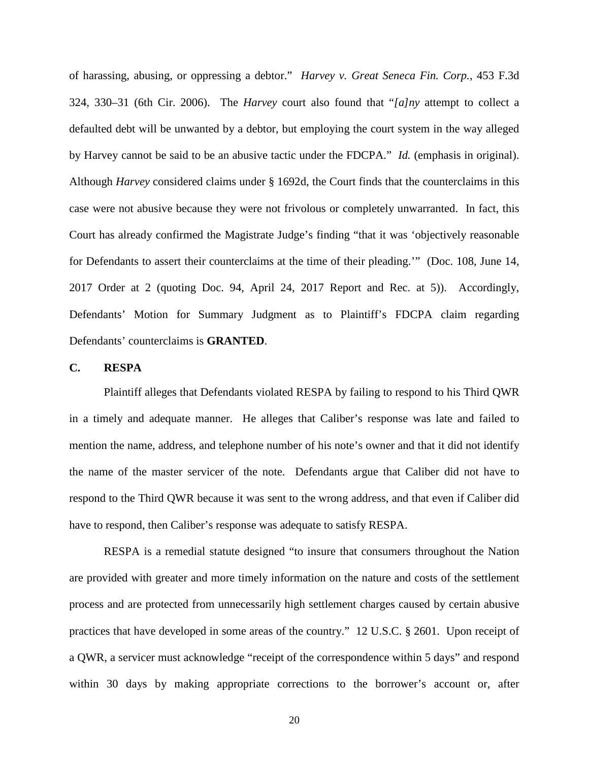of harassing, abusing, or oppressing a debtor." *Harvey v. Great Seneca Fin. Corp.*, 453 F.3d 324, 330–31 (6th Cir. 2006). The *Harvey* court also found that "*[a]ny* attempt to collect a defaulted debt will be unwanted by a debtor, but employing the court system in the way alleged by Harvey cannot be said to be an abusive tactic under the FDCPA." *Id.* (emphasis in original). Although *Harvey* considered claims under § 1692d, the Court finds that the counterclaims in this case were not abusive because they were not frivolous or completely unwarranted. In fact, this Court has already confirmed the Magistrate Judge's finding "that it was 'objectively reasonable for Defendants to assert their counterclaims at the time of their pleading.'" (Doc. 108, June 14, 2017 Order at 2 (quoting Doc. 94, April 24, 2017 Report and Rec. at 5)). Accordingly, Defendants' Motion for Summary Judgment as to Plaintiff's FDCPA claim regarding Defendants' counterclaims is **GRANTED**.

### **C. RESPA**

Plaintiff alleges that Defendants violated RESPA by failing to respond to his Third QWR in a timely and adequate manner. He alleges that Caliber's response was late and failed to mention the name, address, and telephone number of his note's owner and that it did not identify the name of the master servicer of the note. Defendants argue that Caliber did not have to respond to the Third QWR because it was sent to the wrong address, and that even if Caliber did have to respond, then Caliber's response was adequate to satisfy RESPA.

RESPA is a remedial statute designed "to insure that consumers throughout the Nation are provided with greater and more timely information on the nature and costs of the settlement process and are protected from unnecessarily high settlement charges caused by certain abusive practices that have developed in some areas of the country." 12 U.S.C. § 2601. Upon receipt of a QWR, a servicer must acknowledge "receipt of the correspondence within 5 days" and respond within 30 days by making appropriate corrections to the borrower's account or, after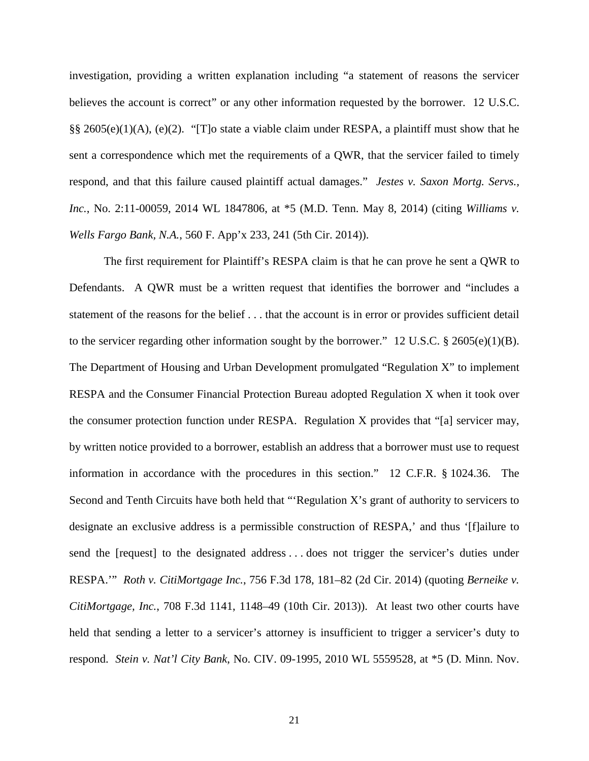investigation, providing a written explanation including "a statement of reasons the servicer believes the account is correct" or any other information requested by the borrower. 12 U.S.C. §§ 2605(e)(1)(A), (e)(2). "[T]o state a viable claim under RESPA, a plaintiff must show that he sent a correspondence which met the requirements of a QWR, that the servicer failed to timely respond, and that this failure caused plaintiff actual damages." *Jestes v. Saxon Mortg. Servs., Inc.*, No. 2:11-00059, 2014 WL 1847806, at \*5 (M.D. Tenn. May 8, 2014) (citing *Williams v. Wells Fargo Bank, N.A.*, 560 F. App'x 233, 241 (5th Cir. 2014)).

The first requirement for Plaintiff's RESPA claim is that he can prove he sent a QWR to Defendants. A QWR must be a written request that identifies the borrower and "includes a statement of the reasons for the belief . . . that the account is in error or provides sufficient detail to the servicer regarding other information sought by the borrower." 12 U.S.C. § 2605(e)(1)(B). The Department of Housing and Urban Development promulgated "Regulation X" to implement RESPA and the Consumer Financial Protection Bureau adopted Regulation X when it took over the consumer protection function under RESPA. Regulation X provides that "[a] servicer may, by written notice provided to a borrower, establish an address that a borrower must use to request information in accordance with the procedures in this section." 12 C.F.R. § 1024.36. The Second and Tenth Circuits have both held that "'Regulation X's grant of authority to servicers to designate an exclusive address is a permissible construction of RESPA,' and thus '[f]ailure to send the [request] to the designated address . . . does not trigger the servicer's duties under RESPA.'" *Roth v. CitiMortgage Inc.*, 756 F.3d 178, 181–82 (2d Cir. 2014) (quoting *Berneike v. CitiMortgage, Inc.*, 708 F.3d 1141, 1148–49 (10th Cir. 2013)). At least two other courts have held that sending a letter to a servicer's attorney is insufficient to trigger a servicer's duty to respond. *Stein v. Nat'l City Bank*, No. CIV. 09-1995, 2010 WL 5559528, at \*5 (D. Minn. Nov.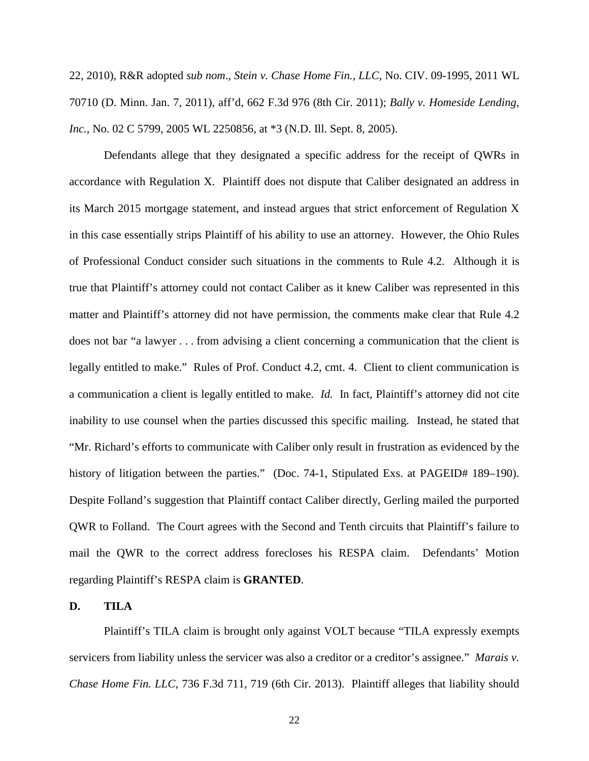22, 2010), R&R adopted *sub nom*., *Stein v. Chase Home Fin., LLC*, No. CIV. 09-1995, 2011 WL 70710 (D. Minn. Jan. 7, 2011), aff'd, 662 F.3d 976 (8th Cir. 2011); *Bally v. Homeside Lending, Inc.*, No. 02 C 5799, 2005 WL 2250856, at \*3 (N.D. Ill. Sept. 8, 2005).

Defendants allege that they designated a specific address for the receipt of QWRs in accordance with Regulation X. Plaintiff does not dispute that Caliber designated an address in its March 2015 mortgage statement, and instead argues that strict enforcement of Regulation X in this case essentially strips Plaintiff of his ability to use an attorney. However, the Ohio Rules of Professional Conduct consider such situations in the comments to Rule 4.2. Although it is true that Plaintiff's attorney could not contact Caliber as it knew Caliber was represented in this matter and Plaintiff's attorney did not have permission, the comments make clear that Rule 4.2 does not bar "a lawyer . . . from advising a client concerning a communication that the client is legally entitled to make." Rules of Prof. Conduct 4.2, cmt. 4. Client to client communication is a communication a client is legally entitled to make. *Id.* In fact, Plaintiff's attorney did not cite inability to use counsel when the parties discussed this specific mailing. Instead, he stated that "Mr. Richard's efforts to communicate with Caliber only result in frustration as evidenced by the history of litigation between the parties." (Doc. 74-1, Stipulated Exs. at PAGEID# 189–190). Despite Folland's suggestion that Plaintiff contact Caliber directly, Gerling mailed the purported QWR to Folland. The Court agrees with the Second and Tenth circuits that Plaintiff's failure to mail the QWR to the correct address forecloses his RESPA claim. Defendants' Motion regarding Plaintiff's RESPA claim is **GRANTED**.

## **D. TILA**

Plaintiff's TILA claim is brought only against VOLT because "TILA expressly exempts servicers from liability unless the servicer was also a creditor or a creditor's assignee." *Marais v. Chase Home Fin. LLC*, 736 F.3d 711, 719 (6th Cir. 2013). Plaintiff alleges that liability should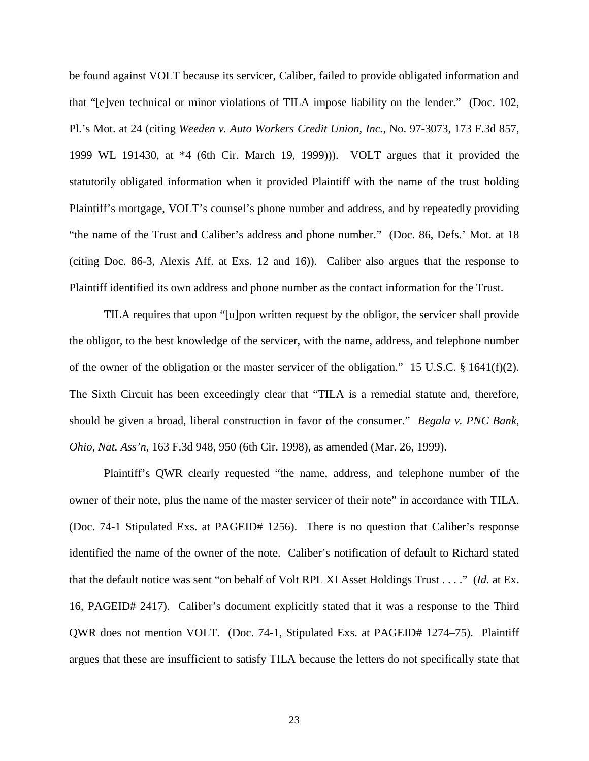be found against VOLT because its servicer, Caliber, failed to provide obligated information and that "[e]ven technical or minor violations of TILA impose liability on the lender." (Doc. 102, Pl.'s Mot. at 24 (citing *Weeden v. Auto Workers Credit Union, Inc.*, No. 97-3073, 173 F.3d 857, 1999 WL 191430, at \*4 (6th Cir. March 19, 1999))). VOLT argues that it provided the statutorily obligated information when it provided Plaintiff with the name of the trust holding Plaintiff's mortgage, VOLT's counsel's phone number and address, and by repeatedly providing "the name of the Trust and Caliber's address and phone number." (Doc. 86, Defs.' Mot. at 18 (citing Doc. 86-3, Alexis Aff. at Exs. 12 and 16)). Caliber also argues that the response to Plaintiff identified its own address and phone number as the contact information for the Trust.

TILA requires that upon "[u]pon written request by the obligor, the servicer shall provide the obligor, to the best knowledge of the servicer, with the name, address, and telephone number of the owner of the obligation or the master servicer of the obligation." 15 U.S.C. § 1641(f)(2). The Sixth Circuit has been exceedingly clear that "TILA is a remedial statute and, therefore, should be given a broad, liberal construction in favor of the consumer." *Begala v. PNC Bank, Ohio, Nat. Ass'n*, 163 F.3d 948, 950 (6th Cir. 1998), as amended (Mar. 26, 1999).

Plaintiff's QWR clearly requested "the name, address, and telephone number of the owner of their note, plus the name of the master servicer of their note" in accordance with TILA. (Doc. 74-1 Stipulated Exs. at PAGEID# 1256). There is no question that Caliber's response identified the name of the owner of the note. Caliber's notification of default to Richard stated that the default notice was sent "on behalf of Volt RPL XI Asset Holdings Trust . . . ." (*Id.* at Ex. 16, PAGEID# 2417). Caliber's document explicitly stated that it was a response to the Third QWR does not mention VOLT. (Doc. 74-1, Stipulated Exs. at PAGEID# 1274–75). Plaintiff argues that these are insufficient to satisfy TILA because the letters do not specifically state that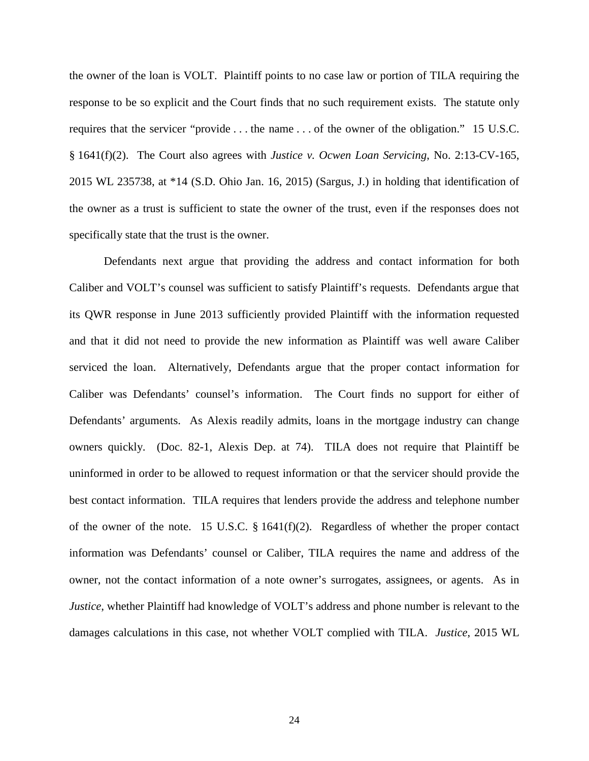the owner of the loan is VOLT. Plaintiff points to no case law or portion of TILA requiring the response to be so explicit and the Court finds that no such requirement exists. The statute only requires that the servicer "provide . . . the name . . . of the owner of the obligation." 15 U.S.C. § 1641(f)(2). The Court also agrees with *Justice v. Ocwen Loan Servicing*, No. 2:13-CV-165, 2015 WL 235738, at \*14 (S.D. Ohio Jan. 16, 2015) (Sargus, J.) in holding that identification of the owner as a trust is sufficient to state the owner of the trust, even if the responses does not specifically state that the trust is the owner.

Defendants next argue that providing the address and contact information for both Caliber and VOLT's counsel was sufficient to satisfy Plaintiff's requests. Defendants argue that its QWR response in June 2013 sufficiently provided Plaintiff with the information requested and that it did not need to provide the new information as Plaintiff was well aware Caliber serviced the loan. Alternatively, Defendants argue that the proper contact information for Caliber was Defendants' counsel's information. The Court finds no support for either of Defendants' arguments. As Alexis readily admits, loans in the mortgage industry can change owners quickly. (Doc. 82-1, Alexis Dep. at 74). TILA does not require that Plaintiff be uninformed in order to be allowed to request information or that the servicer should provide the best contact information. TILA requires that lenders provide the address and telephone number of the owner of the note. 15 U.S.C. § 1641(f)(2). Regardless of whether the proper contact information was Defendants' counsel or Caliber, TILA requires the name and address of the owner, not the contact information of a note owner's surrogates, assignees, or agents. As in *Justice*, whether Plaintiff had knowledge of VOLT's address and phone number is relevant to the damages calculations in this case, not whether VOLT complied with TILA. *Justice*, 2015 WL